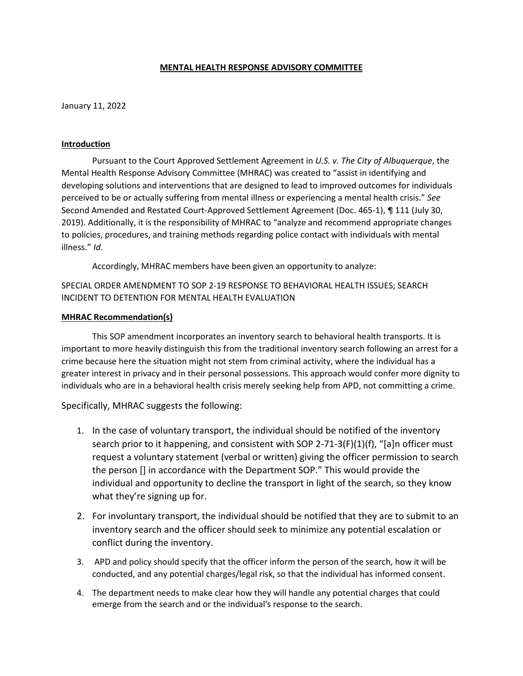## **MENTAL HEALTH RESPONSE ADVISORY COMMITTEE**

January 11, 2022

## **Introduction**

Pursuant to the Court Approved Settlement Agreement in *U.S. v. The City of Albuquerque*, the Mental Health Response Advisory Committee (MHRAC) was created to "assist in identifying and developing solutions and interventions that are designed to lead to improved outcomes for individuals perceived to be or actually suffering from mental illness or experiencing a mental health crisis." *See*  Second Amended and Restated Court-Approved Settlement Agreement (Doc. 465-1), ¶ 111 (July 30, 2019). Additionally, it is the responsibility of MHRAC to "analyze and recommend appropriate changes to policies, procedures, and training methods regarding police contact with individuals with mental illness." *Id*.

Accordingly, MHRAC members have been given an opportunity to analyze:

SPECIAL ORDER AMENDMENT TO SOP 2-19 RESPONSE TO BEHAVIORAL HEALTH ISSUES; SEARCH INCIDENT TO DETENTION FOR MENTAL HEALTH EVALUATION

## **MHRAC Recommendation(s)**

This SOP amendment incorporates an inventory search to behavioral health transports. It is important to more heavily distinguish this from the traditional inventory search following an arrest for a crime because here the situation might not stem from criminal activity, where the individual has a greater interest in privacy and in their personal possessions. This approach would confer more dignity to individuals who are in a behavioral health crisis merely seeking help from APD, not committing a crime.

Specifically, MHRAC suggests the following:

- 1. In the case of voluntary transport, the individual should be notified of the inventory search prior to it happening, and consistent with SOP 2-71-3(F)(1)(f), "[a]n officer must request a voluntary statement (verbal or written) giving the officer permission to search the person [] in accordance with the Department SOP." This would provide the individual and opportunity to decline the transport in light of the search, so they know what they're signing up for.
- 2. For involuntary transport, the individual should be notified that they are to submit to an inventory search and the officer should seek to minimize any potential escalation or conflict during the inventory.
- 3. APD and policy should specify that the officer inform the person of the search, how it will be conducted, and any potential charges/legal risk, so that the individual has informed consent.
- 4. The department needs to make clear how they will handle any potential charges that could emerge from the search and or the individual's response to the search.